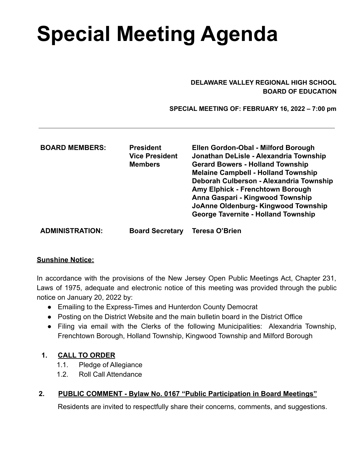# **Special Meeting Agenda**

#### **DELAWARE VALLEY REGIONAL HIGH SCHOOL BOARD OF EDUCATION**

 **SPECIAL MEETING OF: FEBRUARY 16, 2022 – 7:00 pm**

| <b>BOARD MEMBERS:</b>  | <b>President</b><br><b>Vice President</b><br><b>Members</b> | Ellen Gordon-Obal - Milford Borough<br>Jonathan DeLisle - Alexandria Township<br><b>Gerard Bowers - Holland Township</b><br><b>Melaine Campbell - Holland Township</b><br>Deborah Culberson - Alexandria Township<br>Amy Elphick - Frenchtown Borough<br>Anna Gaspari - Kingwood Township<br>JoAnne Oldenburg-Kingwood Township<br><b>George Tavernite - Holland Township</b> |
|------------------------|-------------------------------------------------------------|-------------------------------------------------------------------------------------------------------------------------------------------------------------------------------------------------------------------------------------------------------------------------------------------------------------------------------------------------------------------------------|
| <b>ADMINISTRATION:</b> | <b>Board Secretary</b>                                      | Teresa O'Brien                                                                                                                                                                                                                                                                                                                                                                |

#### **Sunshine Notice:**

In accordance with the provisions of the New Jersey Open Public Meetings Act, Chapter 231, Laws of 1975, adequate and electronic notice of this meeting was provided through the public notice on January 20, 2022 by:

- Emailing to the Express-Times and Hunterdon County Democrat
- Posting on the District Website and the main bulletin board in the District Office
- Filing via email with the Clerks of the following Municipalities: Alexandria Township, Frenchtown Borough, Holland Township, Kingwood Township and Milford Borough

#### **1. CALL TO ORDER**

- 1.1. Pledge of Allegiance
- 1.2. Roll Call Attendance

## **2. PUBLIC COMMENT - Bylaw No. 0167 "Public Participation in Board Meetings"**

Residents are invited to respectfully share their concerns, comments, and suggestions.